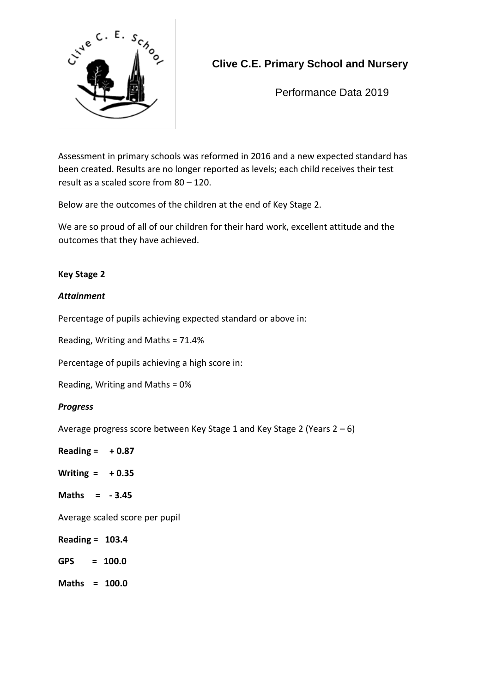

# **Clive C.E. Primary School and Nursery**

Performance Data 2019

Assessment in primary schools was reformed in 2016 and a new expected standard has been created. Results are no longer reported as levels; each child receives their test result as a scaled score from 80 – 120.

Below are the outcomes of the children at the end of Key Stage 2.

We are so proud of all of our children for their hard work, excellent attitude and the outcomes that they have achieved.

## **Key Stage 2**

### *Attainment*

Percentage of pupils achieving expected standard or above in:

Reading, Writing and Maths = 71.4%

Percentage of pupils achieving a high score in:

Reading, Writing and Maths = 0%

### *Progress*

Average progress score between Key Stage 1 and Key Stage 2 (Years 2 – 6)

**Reading = + 0.87 Writing = + 0.35 Maths = - 3.45** Average scaled score per pupil **Reading = 103.4 GPS = 100.0 Maths = 100.0**